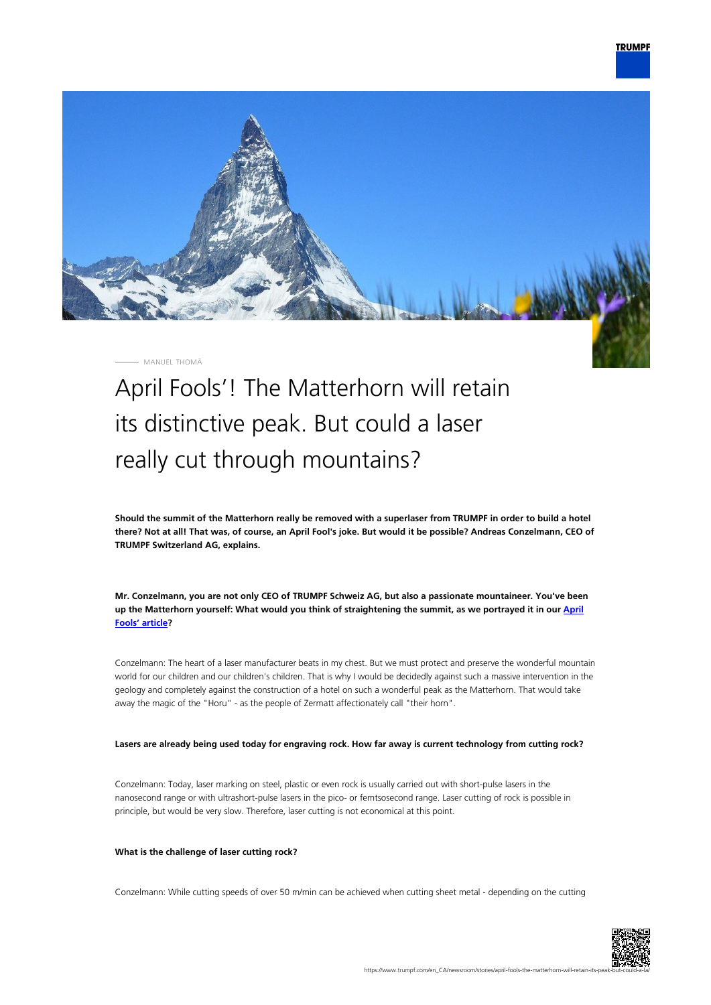

MANUEL THOMÄ

# April Fools'! The Matterhorn will retain its distinctive peak. But could a laser really cut through mountains?

**Should the summit of the Matterhorn really be removed with a superlaser from TRUMPF in order to build a hotel there? Not at all! That was, of course, an April Fool's joke. But would it be possible? Andreas Conzelmann, CEO of TRUMPF Switzerland AG, explains.**

**Mr. Conzelmann, you are not only CEO of TRUMPF Schweiz AG, but also a passionate mountaineer. You've been up the Matterhorn yourself: What would you think of straightening the summit, as we portrayed it in our [April](https://www.trumpf.com/en_CA/newsroom/stories/matterhorn-trumpf-to-laser-away-peaks/) [Fools' article?](https://www.trumpf.com/en_CA/newsroom/stories/matterhorn-trumpf-to-laser-away-peaks/)**

Conzelmann: The heart of a laser manufacturer beats in my chest. But we must protect and preserve the wonderful mountain world for our children and our children's children. That is why I would be decidedly against such a massive intervention in the geology and completely against the construction of a hotel on such a wonderful peak as the Matterhorn. That would take away the magic of the "Horu" - as the people of Zermatt affectionately call "their horn".

#### **Lasers are already being used today for engraving rock. How far away is current technology from cutting rock?**

Conzelmann: Today, laser marking on steel, plastic or even rock is usually carried out with short-pulse lasers in the nanosecond range or with ultrashort-pulse lasers in the pico- or femtsosecond range. Laser cutting of rock is possible in principle, but would be very slow. Therefore, laser cutting is not economical at this point.

#### **What is the challenge of laser cutting rock?**

Conzelmann: While cutting speeds of over 50 m/min can be achieved when cutting sheet metal - depending on the cutting